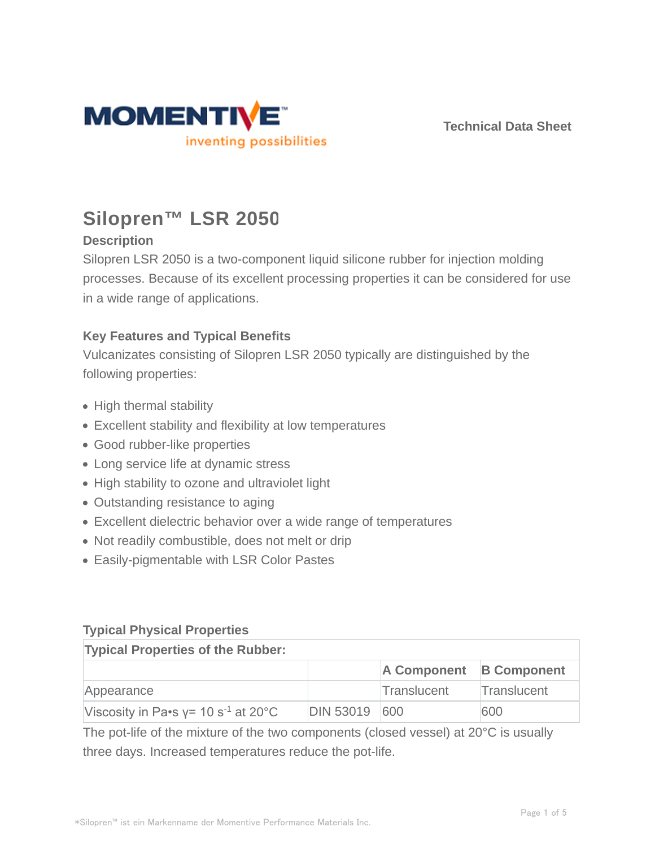

**Technical Data Sheet**

# **Silopren™ LSR 2050**

# **Description**

Silopren LSR 2050 is a two-component liquid silicone rubber for injection molding processes. Because of its excellent processing properties it can be considered for use in a wide range of applications.

# **Key Features and Typical Benefits**

Vulcanizates consisting of Silopren LSR 2050 typically are distinguished by the following properties:

- High thermal stability
- Excellent stability and flexibility at low temperatures
- Good rubber-like properties
- Long service life at dynamic stress
- High stability to ozone and ultraviolet light
- Outstanding resistance to aging
- Excellent dielectric behavior over a wide range of temperatures
- Not readily combustible, does not melt or drip
- Easily-pigmentable with LSR Color Pastes

## **Typical Physical Properties**

| <b>Typical Properties of the Rubber:</b>  |               |                         |             |  |  |
|-------------------------------------------|---------------|-------------------------|-------------|--|--|
|                                           |               | A Component B Component |             |  |  |
| Appearance                                |               | Translucent             | Translucent |  |  |
| Viscosity in Pa•s $y = 10 s^{-1}$ at 20°C | DIN 53019 600 |                         | 600         |  |  |

The pot-life of the mixture of the two components (closed vessel) at 20°C is usually three days. Increased temperatures reduce the pot-life.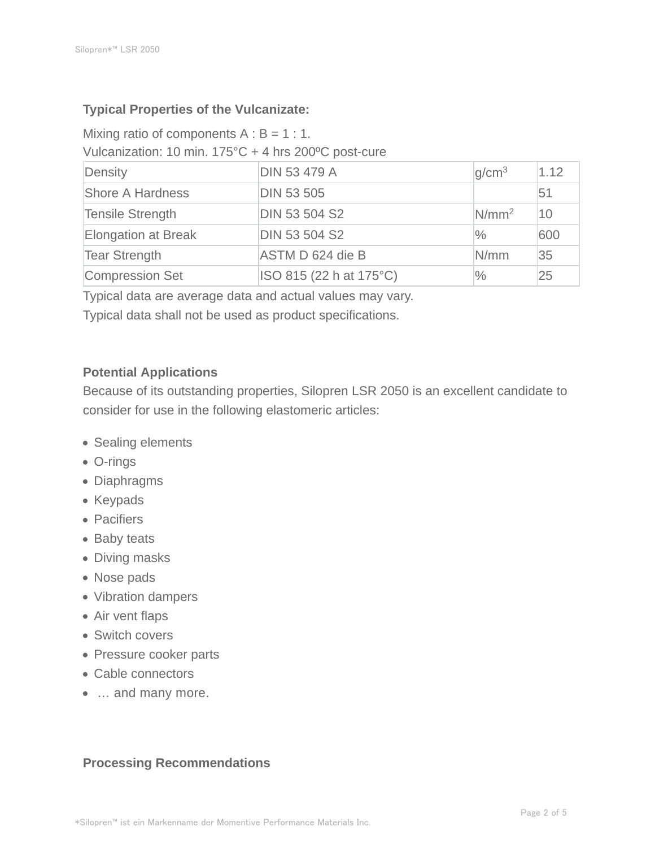## **Typical Properties of the Vulcanizate:**

Mixing ratio of components  $A : B = 1 : 1$ . Vulcanization: 10 min. 175°C + 4 hrs 200ºC post-cure

| Density                    | <b>DIN 53 479 A</b>     | q/cm <sup>3</sup> | 1.12 |
|----------------------------|-------------------------|-------------------|------|
| Shore A Hardness           | <b>DIN 53 505</b>       |                   | 51   |
| <b>Tensile Strength</b>    | <b>DIN 53 504 S2</b>    | $N/mm^2$          | 10   |
| <b>Elongation at Break</b> | <b>DIN 53 504 S2</b>    | $\%$              | 600  |
| <b>Tear Strength</b>       | ASTM D 624 die B        | N/mm              | 35   |
| Compression Set            | ISO 815 (22 h at 175°C) | $\frac{0}{0}$     | 25   |

Typical data are average data and actual values may vary.

Typical data shall not be used as product specifications.

#### **Potential Applications**

Because of its outstanding properties, Silopren LSR 2050 is an excellent candidate to consider for use in the following elastomeric articles:

- Sealing elements
- O-rings
- Diaphragms
- Keypads
- Pacifiers
- Baby teats
- Diving masks
- Nose pads
- Vibration dampers
- Air vent flaps
- Switch covers
- Pressure cooker parts
- Cable connectors
- … and many more.

### **Processing Recommendations**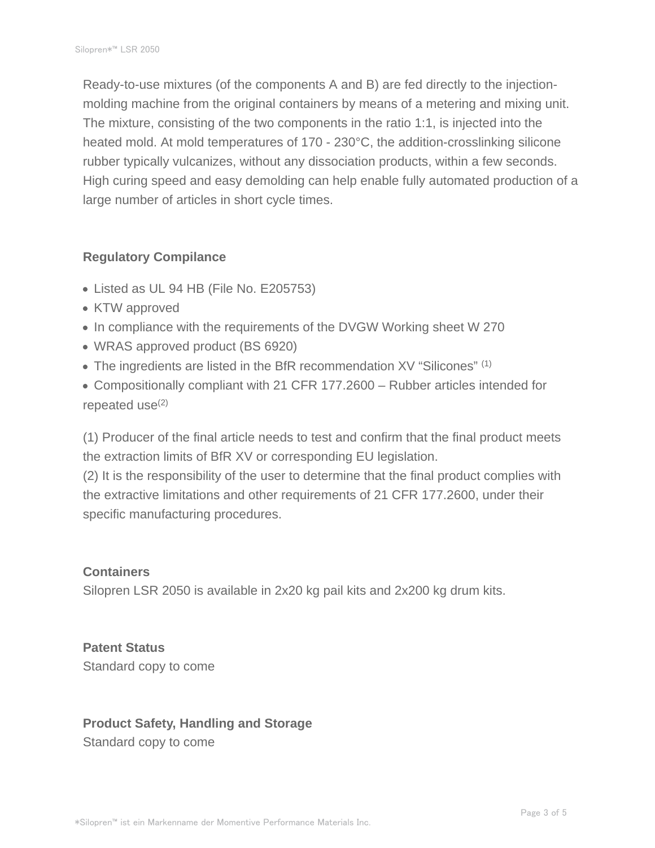Ready-to-use mixtures (of the components A and B) are fed directly to the injectionmolding machine from the original containers by means of a metering and mixing unit. The mixture, consisting of the two components in the ratio 1:1, is injected into the heated mold. At mold temperatures of 170 - 230°C, the addition-crosslinking silicone rubber typically vulcanizes, without any dissociation products, within a few seconds. High curing speed and easy demolding can help enable fully automated production of a large number of articles in short cycle times.

### **Regulatory Compilance**

- Listed as UL 94 HB (File No. E205753)
- KTW approved
- In compliance with the requirements of the DVGW Working sheet W 270
- WRAS approved product (BS 6920)
- The ingredients are listed in the BfR recommendation XV "Silicones" (1)
- Compositionally compliant with 21 CFR 177.2600 Rubber articles intended for repeated use $(2)$

(1) Producer of the final article needs to test and confirm that the final product meets the extraction limits of BfR XV or corresponding EU legislation.

(2) It is the responsibility of the user to determine that the final product complies with the extractive limitations and other requirements of 21 CFR 177.2600, under their specific manufacturing procedures.

### **Containers**

Silopren LSR 2050 is available in 2x20 kg pail kits and 2x200 kg drum kits.

**Patent Status** Standard copy to come

# **Product Safety, Handling and Storage** Standard copy to come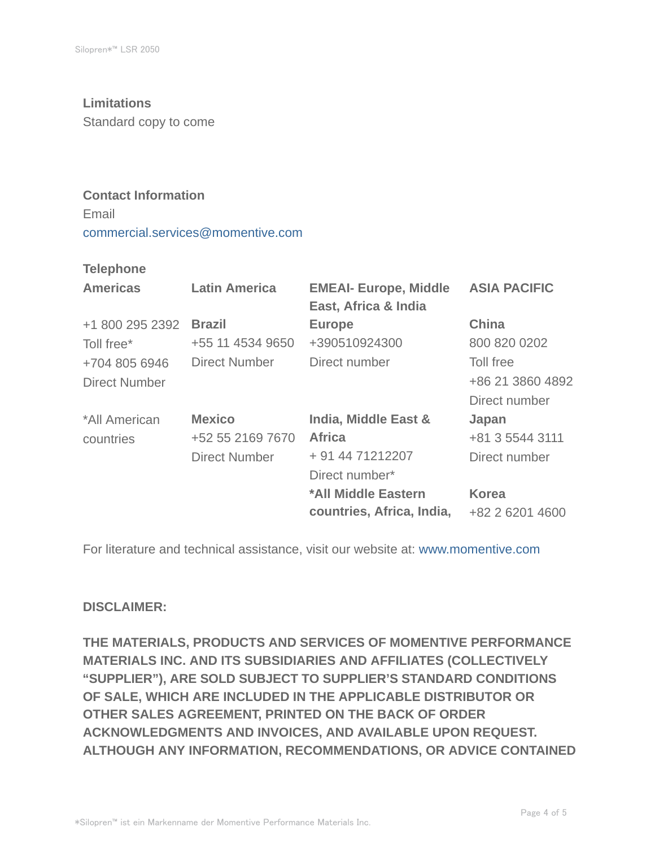#### **Limitations**

Standard copy to come

## **Contact Information**

Email commercial.services@momentive.com

#### **Telephone**

| <b>Americas</b>      | <b>Latin America</b> | <b>EMEAI- Europe, Middle</b><br>East, Africa & India | <b>ASIA PACIFIC</b> |
|----------------------|----------------------|------------------------------------------------------|---------------------|
| +1 800 295 2392      | <b>Brazil</b>        | <b>Europe</b>                                        | <b>China</b>        |
| Toll free*           | +55 11 4534 9650     | +390510924300                                        | 800 820 0202        |
| +704 805 6946        | <b>Direct Number</b> | Direct number                                        | Toll free           |
| <b>Direct Number</b> |                      |                                                      | +86 21 3860 4892    |
|                      |                      |                                                      | Direct number       |
| *All American        | <b>Mexico</b>        | <b>India, Middle East &amp;</b>                      | Japan               |
| countries            | +52 55 2169 7670     | <b>Africa</b>                                        | +81 3 5544 3111     |
|                      | <b>Direct Number</b> | + 91 44 71212207                                     | Direct number       |
|                      |                      | Direct number*                                       |                     |
|                      |                      | *All Middle Eastern                                  | <b>Korea</b>        |
|                      |                      | countries, Africa, India,                            | +82 2 6201 4600     |

For literature and technical assistance, visit our website at: www.momentive.com

### **DISCLAIMER:**

**THE MATERIALS, PRODUCTS AND SERVICES OF MOMENTIVE PERFORMANCE MATERIALS INC. AND ITS SUBSIDIARIES AND AFFILIATES (COLLECTIVELY "SUPPLIER"), ARE SOLD SUBJECT TO SUPPLIER'S STANDARD CONDITIONS OF SALE, WHICH ARE INCLUDED IN THE APPLICABLE DISTRIBUTOR OR OTHER SALES AGREEMENT, PRINTED ON THE BACK OF ORDER ACKNOWLEDGMENTS AND INVOICES, AND AVAILABLE UPON REQUEST. ALTHOUGH ANY INFORMATION, RECOMMENDATIONS, OR ADVICE CONTAINED**